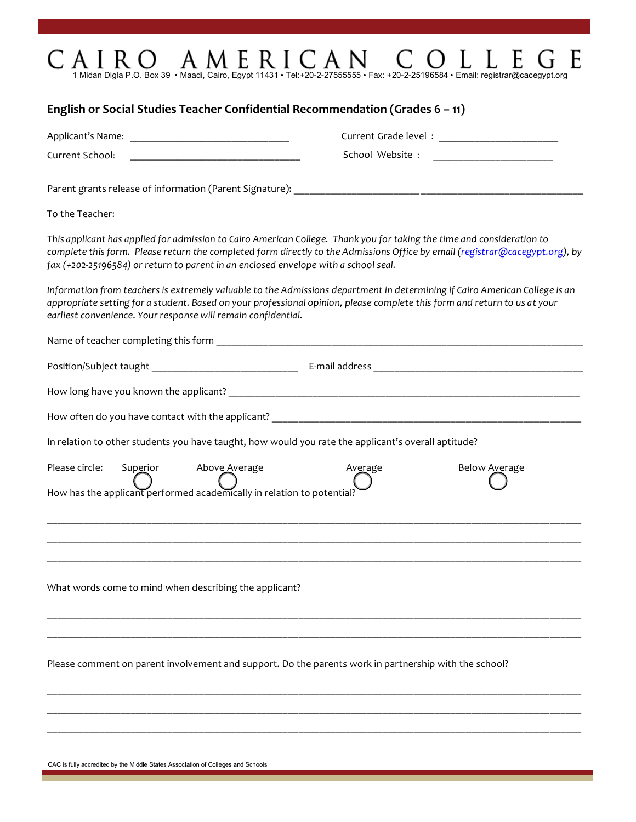## 1 Midan Digla P.O. Box 39 • Maadi, Cairo, Egypt 11431 • Tel:+20-2-27555555 • Fax: +20-2-25196584 • Email: registrar@cacegypt.org

| English or Social Studies Teacher Confidential Recommendation (Grades 6 - 11)                                                                                                                                                                           |                                                                                                                                                                                                                                                          |  |
|---------------------------------------------------------------------------------------------------------------------------------------------------------------------------------------------------------------------------------------------------------|----------------------------------------------------------------------------------------------------------------------------------------------------------------------------------------------------------------------------------------------------------|--|
|                                                                                                                                                                                                                                                         |                                                                                                                                                                                                                                                          |  |
| Current School:<br><u> 1980 - Jan James James Barnett, amerikan basar pada 1980 - Jan James James James James James James James James James James James James James James James James James James James James James James James James James James J</u> |                                                                                                                                                                                                                                                          |  |
|                                                                                                                                                                                                                                                         |                                                                                                                                                                                                                                                          |  |
| To the Teacher:                                                                                                                                                                                                                                         |                                                                                                                                                                                                                                                          |  |
| fax (+202-25196584) or return to parent in an enclosed envelope with a school seal.                                                                                                                                                                     | This applicant has applied for admission to Cairo American College. Thank you for taking the time and consideration to<br>complete this form. Please return the completed form directly to the Admissions Office by email (registrar@cacegypt.org), by   |  |
| earliest convenience. Your response will remain confidential.                                                                                                                                                                                           | Information from teachers is extremely valuable to the Admissions department in determining if Cairo American College is an<br>appropriate setting for a student. Based on your professional opinion, please complete this form and return to us at your |  |
|                                                                                                                                                                                                                                                         |                                                                                                                                                                                                                                                          |  |
|                                                                                                                                                                                                                                                         |                                                                                                                                                                                                                                                          |  |
|                                                                                                                                                                                                                                                         |                                                                                                                                                                                                                                                          |  |
|                                                                                                                                                                                                                                                         |                                                                                                                                                                                                                                                          |  |
| In relation to other students you have taught, how would you rate the applicant's overall aptitude?                                                                                                                                                     |                                                                                                                                                                                                                                                          |  |
| Please circle:<br>Superior<br>Above Average                                                                                                                                                                                                             | Average<br><b>Below Average</b>                                                                                                                                                                                                                          |  |
| How has the applicant performed academically in relation to potential?                                                                                                                                                                                  |                                                                                                                                                                                                                                                          |  |
| What words come to mind when describing the applicant?                                                                                                                                                                                                  |                                                                                                                                                                                                                                                          |  |
|                                                                                                                                                                                                                                                         |                                                                                                                                                                                                                                                          |  |
|                                                                                                                                                                                                                                                         | Please comment on parent involvement and support. Do the parents work in partnership with the school?                                                                                                                                                    |  |
|                                                                                                                                                                                                                                                         |                                                                                                                                                                                                                                                          |  |
|                                                                                                                                                                                                                                                         |                                                                                                                                                                                                                                                          |  |

CAC is fully accredited by the Middle States Association of Colleges and Schools